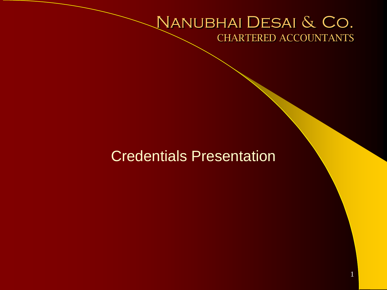### Nanubhai Desai & Co. CHARTERED ACCOUNTANTS

1

### Credentials Presentation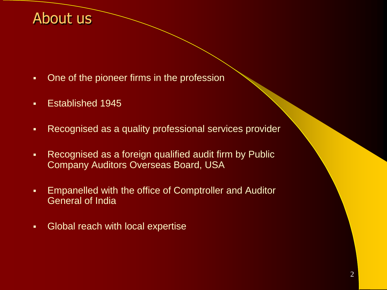### About us

- One of the pioneer firms in the profession
- **Established 1945**
- Recognised as a quality professional services provider
- Recognised as a foreign qualified audit firm by Public Company Auditors Overseas Board, USA
- Empanelled with the office of Comptroller and Auditor General of India
- **-** Global reach with local expertise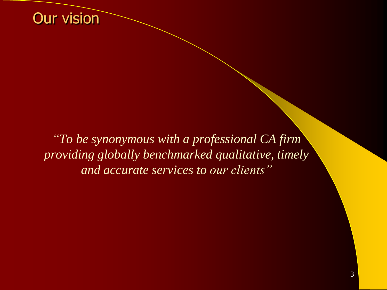

*"To be synonymous with a professional CA firm providing globally benchmarked qualitative, timely and accurate services to our clients"*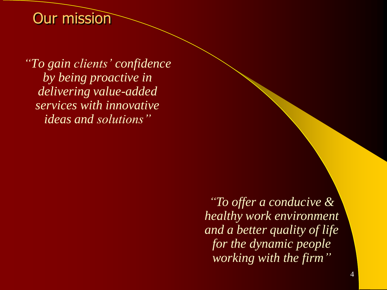### Our mission

*"To gain clients' confidence by being proactive in delivering value-added services with innovative ideas and solutions"*

> *"To offer a conducive & healthy work environment and a better quality of life for the dynamic people working with the firm"*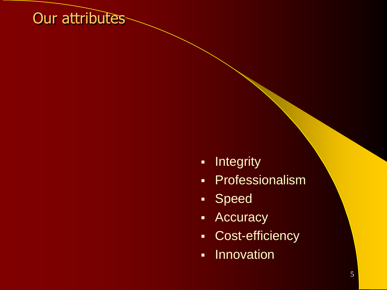## Our attributes

- Integrity
- Professionalism
- Speed
- **-** Accuracy
- Cost-efficiency
- **-** Innovation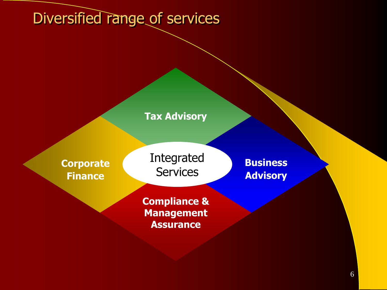# Diversified range of services

#### **Tax Advisory**

**Corporate Finance**

Integrated **Services** 

**Compliance & Management Assurance**

**Business Advisory**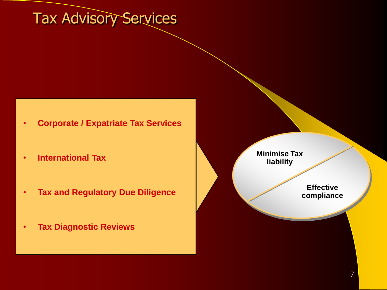# Tax Advisory Services

- **Corporate / Expatriate Tax Services**
- **International Tax**
- **Tax and Regulatory Due Diligence**
- **Tax Diagnostic Reviews**

**Minimise Tax liability**

> **Effective compliance**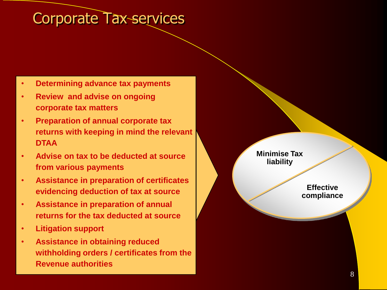### Corporate Tax services

- **Determining advance tax payments**
- **Review and advise on ongoing corporate tax matters**
- **Preparation of annual corporate tax returns with keeping in mind the relevant DTAA**
- **Advise on tax to be deducted at source from various payments**
- **Assistance in preparation of certificates evidencing deduction of tax at source**
- **Assistance in preparation of annual returns for the tax deducted at source**
- **Litigation support**
- **Assistance in obtaining reduced withholding orders / certificates from the Revenue authorities**

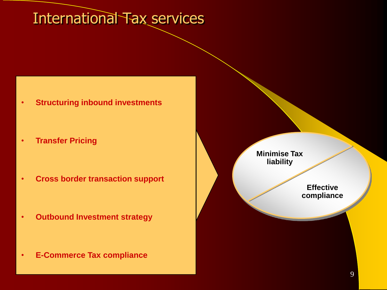### International Tax services

- **Structuring inbound investments**
- **Transfer Pricing**
- **Cross border transaction support**

- **Outbound Investment strategy**
- **E-Commerce Tax compliance**



**Effective compliance**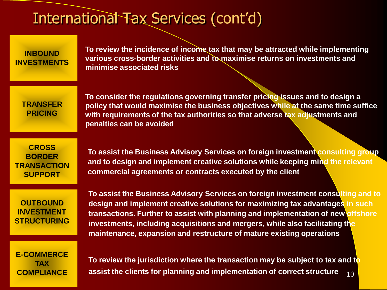### International Tax Services (cont'd)

**INBOUND INVESTMENTS** **To review the incidence of income tax that may be attracted while implementing various cross-border activities and to maximise returns on investments and minimise associated risks**

**TRANSFER PRICING**

**To consider the regulations governing transfer pricing issues and to design a policy that would maximise the business objectives while at the same time suffice with requirements of the tax authorities so that adverse tax adjustments and penalties can be avoided**

**CROSS BORDER TRANSACTION SUPPORT**

**To assist the Business Advisory Services on foreign investment consulting group and to design and implement creative solutions while keeping mind the relevant commercial agreements or contracts executed by the client**

**OUTBOUND INVESTMENT STRUCTURING**

**To assist the Business Advisory Services on foreign investment consulting and to design and implement creative solutions for maximizing tax advantages in such transactions. Further to assist with planning and implementation of new offshore investments, including acquisitions and mergers, while also facilitating the maintenance, expansion and restructure of mature existing operations**

**E-COMMERCE TAX COMPLIANCE**

10 **To review the jurisdiction where the transaction may be subject to tax and to assist the clients for planning and implementation of correct structure**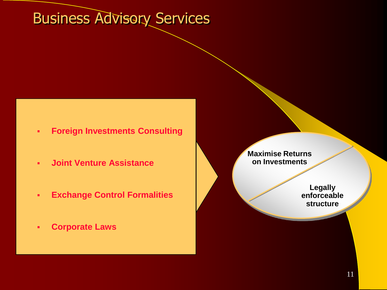# Business Advisory Services

- **Foreign Investments Consulting**
- **Joint Venture Assistance**
- **Exchange Control Formalities**
- **Corporate Laws**

**Maximise Returns on Investments**

> **Legally enforceable structure**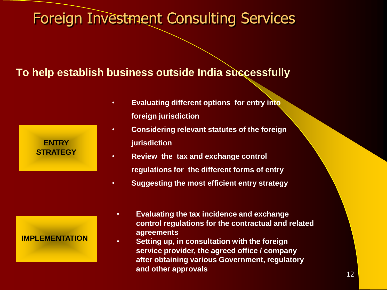### Foreign Investment Consulting Services

### **To help establish business outside India successfully**

| <b>ENTRY</b>    |  |
|-----------------|--|
| <b>STRATEGY</b> |  |

- **Evaluating different options for entry into foreign jurisdiction**
- **Considering relevant statutes of the foreign jurisdiction**
- **Review the tax and exchange control regulations for the different forms of entry**
- **Suggesting the most efficient entry strategy**

#### **IMPLEMENTATION**

- **Evaluating the tax incidence and exchange control regulations for the contractual and related agreements**
- **Setting up, in consultation with the foreign service provider, the agreed office / company after obtaining various Government, regulatory and other approvals**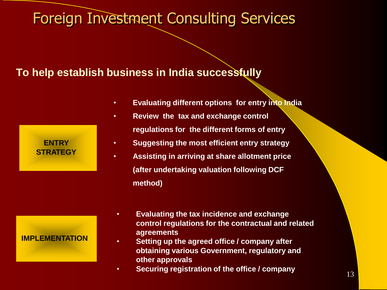### Foreign Investment Consulting Services

### **To help establish business in India successfully**

| <b>ENTRY</b>    |  |
|-----------------|--|
| <b>STRATEGY</b> |  |

# **IMPLEMENTATION**

- **Evaluating different options for entry into India**
- **Review the tax and exchange control regulations for the different forms of entry**
	- **Suggesting the most efficient entry strategy**
	- **Assisting in arriving at share allotment price (after undertaking valuation following DCF method)**
	- **Evaluating the tax incidence and exchange control regulations for the contractual and related agreements**
	- **Setting up the agreed office / company after obtaining various Government, regulatory and other approvals**
	- **Securing registration of the office / company**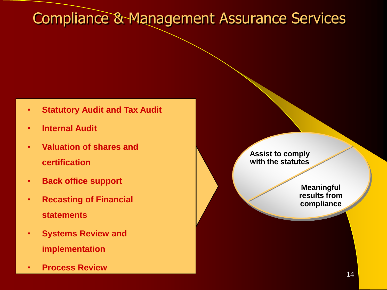# Compliance & Management Assurance Services

- **Statutory Audit and Tax Audit**
- **Internal Audit**
- **Valuation of shares and certification**
- **Back office support**
- **Recasting of Financial statements**
- **Systems Review and implementation**
- **Process Review**

**Assist to comply with the statutes**

> **Meaningful results from compliance**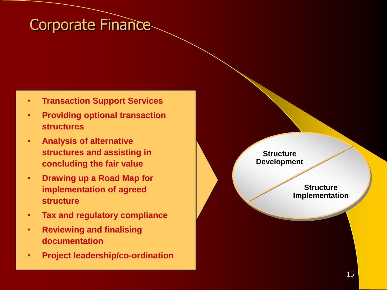### Corporate Finance

- **Transaction Support Services**
- **Providing optional transaction structures**
- **Analysis of alternative structures and assisting in concluding the fair value**
- **Drawing up a Road Map for implementation of agreed structure**
- **Tax and regulatory compliance**
- **Reviewing and finalising documentation**
- **Project leadership/co-ordination**

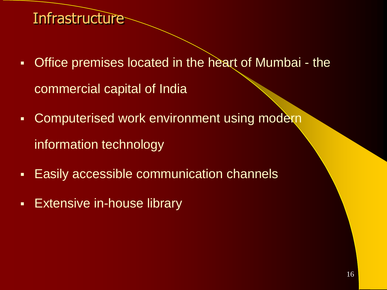## **Infrastructure**

- **Office premises located in the heart of Mumbai the** commercial capital of India
- **Computerised work environment using modern** information technology
- **Easily accessible communication channels**
- **Extensive in-house library**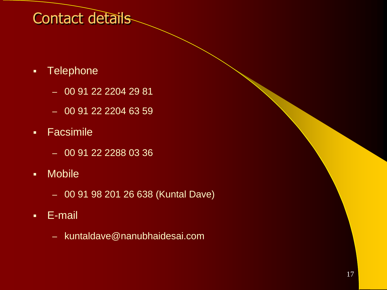# Contact details

- **Telephone** 
	- 00 91 22 2204 29 81
	- 00 91 22 2204 63 59
- **-** Facsimile
	- 00 91 22 2288 03 36
- Mobile
	- 00 91 98 201 26 638 (Kuntal Dave)
- E-mail
	- kuntaldave@nanubhaidesai.com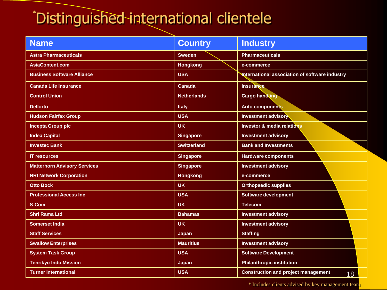# \* Distinguished international clientele

| <b>Name</b>                         | <b>Country</b>     | <b>Industry</b>                                  |
|-------------------------------------|--------------------|--------------------------------------------------|
| <b>Astra Pharmaceuticals</b>        | <b>Sweden</b>      | <b>Pharmaceuticals</b>                           |
| <b>AsiaContent.com</b>              | <b>Hongkong</b>    | e-commerce                                       |
| <b>Business Software Alliance</b>   | <b>USA</b>         | International association of software industry   |
| <b>Canada Life Insurance</b>        | <b>Canada</b>      | <b>Insurance</b>                                 |
| <b>Control Union</b>                | <b>Netherlands</b> | <b>Cargo handling</b>                            |
| <b>Dellorto</b>                     | <b>Italy</b>       | <b>Auto components</b>                           |
| <b>Hudson Fairfax Group</b>         | <b>USA</b>         | <b>Investment advisory</b>                       |
| <b>Incepta Group plc</b>            | <b>UK</b>          | <b>Investor &amp; media relations</b>            |
| <b>Indea Capital</b>                | <b>Singapore</b>   | <b>Investment advisory</b>                       |
| <b>Investec Bank</b>                | <b>Switzerland</b> | <b>Bank and Investments</b>                      |
| <b>IT resources</b>                 | <b>Singapore</b>   | <b>Hardware components</b>                       |
| <b>Matterhorn Advisory Services</b> | <b>Singapore</b>   | <b>Investment advisory</b>                       |
| <b>NRI Network Corporation</b>      | <b>Hongkong</b>    | e-commerce                                       |
| <b>Otto Bock</b>                    | <b>UK</b>          | <b>Orthopaedic supplies</b>                      |
| <b>Professional Access Inc</b>      | <b>USA</b>         | <b>Software development</b>                      |
| S-Com                               | <b>UK</b>          | <b>Telecom</b>                                   |
| <b>Shri Rama Ltd</b>                | <b>Bahamas</b>     | <b>Investment advisory</b>                       |
| <b>Somerset India</b>               | <b>UK</b>          | <b>Investment advisory</b>                       |
| <b>Staff Services</b>               | Japan              | <b>Staffing</b>                                  |
| <b>Swallow Enterprises</b>          | <b>Mauritius</b>   | <b>Investment advisory</b>                       |
| <b>System Task Group</b>            | <b>USA</b>         | <b>Software Development</b>                      |
| <b>Tenrikyo Indo Mission</b>        | <b>Japan</b>       | <b>Philanthropic institution</b>                 |
| <b>Turner International</b>         | <b>USA</b>         | <b>Construction and project management</b><br>18 |

\* Includes clients advised by key management team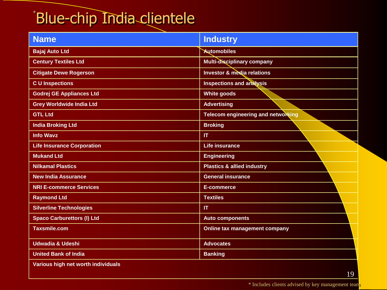# \* Blue-chip India clientele

| <b>Name</b>                        | <b>Industry</b>                       |
|------------------------------------|---------------------------------------|
| <b>Bajaj Auto Ltd</b>              | <b>Automobiles</b>                    |
| <b>Century Textiles Ltd</b>        | <b>Multi-disciplinary company</b>     |
| <b>Citigate Dewe Rogerson</b>      | <b>Investor &amp; media relations</b> |
| <b>CU</b> Inspections              | <b>Inspections and analysis</b>       |
| <b>Godrej GE Appliances Ltd</b>    | <b>White goods</b>                    |
| <b>Grey Worldwide India Ltd</b>    | <b>Advertising</b>                    |
| <b>GTL Ltd</b>                     | Telecom engineering and networking    |
| <b>India Broking Ltd</b>           | <b>Broking</b>                        |
| <b>Info Wavz</b>                   | IT                                    |
| <b>Life Insurance Corporation</b>  | <b>Life insurance</b>                 |
| <b>Mukand Ltd</b>                  | <b>Engineering</b>                    |
| <b>Nilkamal Plastics</b>           | <b>Plastics &amp; allied industry</b> |
| <b>New India Assurance</b>         | <b>General insurance</b>              |
| <b>NRI E-commerce Services</b>     | E-commerce                            |
| <b>Raymond Ltd</b>                 | <b>Textiles</b>                       |
| <b>Silverline Technologies</b>     | $\mathsf{I}\mathsf{T}$                |
| <b>Spaco Carburettors (I) Ltd</b>  | <b>Auto components</b>                |
| <b>Taxsmile.com</b>                | Online tax management company         |
| <b>Udwadia &amp; Udeshi</b>        | <b>Advocates</b>                      |
| <b>United Bank of India</b>        | <b>Banking</b>                        |
| Various high net worth individuals |                                       |